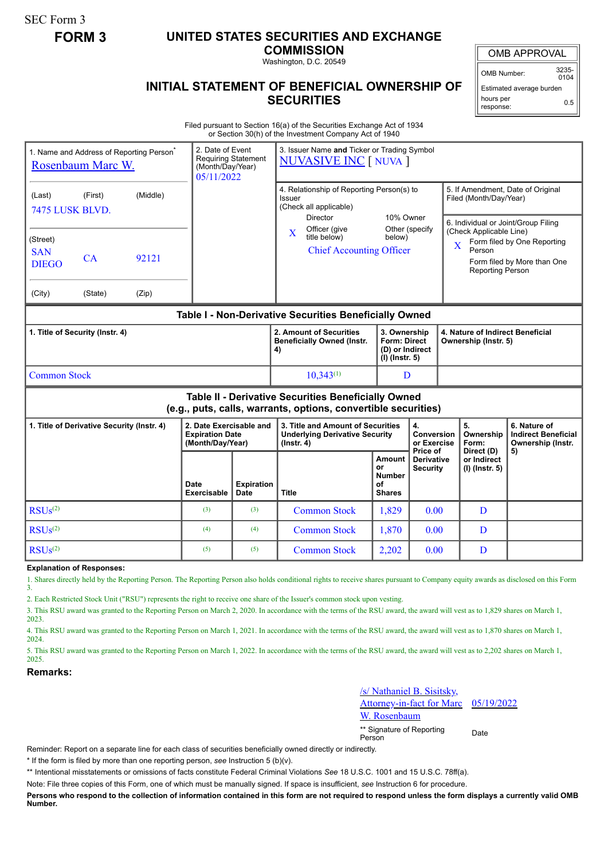SEC Form 3

## **FORM 3 UNITED STATES SECURITIES AND EXCHANGE**

**COMMISSION**

Washington, D.C. 20549

## **INITIAL STATEMENT OF BENEFICIAL OWNERSHIP OF SECURITIES**

OMB APPROVAL

OMB Number: 3235-  $0104$ 

Estimated average burden hours per response: 0.5

Filed pursuant to Section 16(a) of the Securities Exchange Act of 1934 or Section 30(h) of the Investment Company Act of 1940

| Rosenbaum Marc W.                                                                                                     | 1. Name and Address of Reporting Person <sup>®</sup> | 2. Date of Event<br>(Month/Day/Year)<br>05/11/2022 | <b>Requiring Statement</b>                                            | 3. Issuer Name and Ticker or Trading Symbol<br><b>NUVASIVE INC [ NUVA ]</b> |                                                                                                  |                                                                            |   |                                                                                                                                 |                          |                                                                 |
|-----------------------------------------------------------------------------------------------------------------------|------------------------------------------------------|----------------------------------------------------|-----------------------------------------------------------------------|-----------------------------------------------------------------------------|--------------------------------------------------------------------------------------------------|----------------------------------------------------------------------------|---|---------------------------------------------------------------------------------------------------------------------------------|--------------------------|-----------------------------------------------------------------|
| (Middle)<br>(Last)<br>(First)<br>7475 LUSK BLVD.                                                                      |                                                      |                                                    |                                                                       |                                                                             | 4. Relationship of Reporting Person(s) to<br>Issuer<br>(Check all applicable)<br><b>Director</b> | 10% Owner                                                                  |   | 5. If Amendment, Date of Original<br>Filed (Month/Day/Year)<br>6. Individual or Joint/Group Filing                              |                          |                                                                 |
| (Street)<br><b>SAN</b><br><b>DIEGO</b>                                                                                | CA                                                   | 92121                                              |                                                                       |                                                                             | Officer (give<br>$\mathbf{X}$<br>title below)<br><b>Chief Accounting Officer</b>                 | Other (specify<br>below)                                                   |   | (Check Applicable Line)<br>Form filed by One Reporting<br>X<br>Person<br>Form filed by More than One<br><b>Reporting Person</b> |                          |                                                                 |
| (City)                                                                                                                | (State)                                              | (Zip)                                              |                                                                       |                                                                             |                                                                                                  |                                                                            |   |                                                                                                                                 |                          |                                                                 |
| Table I - Non-Derivative Securities Beneficially Owned                                                                |                                                      |                                                    |                                                                       |                                                                             |                                                                                                  |                                                                            |   |                                                                                                                                 |                          |                                                                 |
| 1. Title of Security (Instr. 4)                                                                                       |                                                      |                                                    |                                                                       | 2. Amount of Securities<br><b>Beneficially Owned (Instr.</b><br>4)          |                                                                                                  | 3. Ownership<br><b>Form: Direct</b><br>(D) or Indirect<br>$(I)$ (Instr. 5) |   | 4. Nature of Indirect Beneficial<br>Ownership (Instr. 5)                                                                        |                          |                                                                 |
| <b>Common Stock</b>                                                                                                   |                                                      |                                                    |                                                                       |                                                                             | $10,343^{(1)}$                                                                                   |                                                                            | D |                                                                                                                                 |                          |                                                                 |
| Table II - Derivative Securities Beneficially Owned<br>(e.g., puts, calls, warrants, options, convertible securities) |                                                      |                                                    |                                                                       |                                                                             |                                                                                                  |                                                                            |   |                                                                                                                                 |                          |                                                                 |
| 1. Title of Derivative Security (Instr. 4)                                                                            |                                                      |                                                    | 2. Date Exercisable and<br><b>Expiration Date</b><br>(Month/Day/Year) |                                                                             | 3. Title and Amount of Securities<br><b>Underlying Derivative Security</b><br>$($ lnstr. 4 $)$   | 4.<br>Conversion<br>or Exercise                                            |   |                                                                                                                                 | 5.<br>Ownership<br>Form: | 6. Nature of<br><b>Indirect Beneficial</b><br>Ownership (Instr. |
|                                                                                                                       |                                                      | Date<br><b>Exercisable</b>                         | <b>Expiration</b><br><b>Date</b>                                      | <b>Title</b>                                                                | <b>Amount</b><br>or<br><b>Number</b><br>οf<br><b>Shares</b>                                      | Price of<br><b>Derivative</b><br><b>Security</b>                           |   | Direct (D)<br>or Indirect<br>(I) (Instr. 5)                                                                                     | 5)                       |                                                                 |
| RSUs <sup>(2)</sup>                                                                                                   |                                                      | (3)                                                | (3)                                                                   | <b>Common Stock</b>                                                         | 1,829                                                                                            | 0.00                                                                       |   | D                                                                                                                               |                          |                                                                 |
| RSUs <sup>(2)</sup>                                                                                                   |                                                      | (4)                                                | (4)                                                                   | <b>Common Stock</b>                                                         | 1,870                                                                                            | 0.00                                                                       |   | D                                                                                                                               |                          |                                                                 |
| RSUs <sup>(2)</sup>                                                                                                   |                                                      | (5)                                                | (5)                                                                   | <b>Common Stock</b>                                                         | 2,202                                                                                            | 0.00                                                                       |   | D                                                                                                                               |                          |                                                                 |

**Explanation of Responses:**

1. Shares directly held by the Reporting Person. The Reporting Person also holds conditional rights to receive shares pursuant to Company equity awards as disclosed on this Form 3.

2. Each Restricted Stock Unit ("RSU") represents the right to receive one share of the Issuer's common stock upon vesting.

3. This RSU award was granted to the Reporting Person on March 2, 2020. In accordance with the terms of the RSU award, the award will vest as to 1,829 shares on March 1, 2023.

4. This RSU award was granted to the Reporting Person on March 1, 2021. In accordance with the terms of the RSU award, the award will vest as to 1,870 shares on March 1, 2024.

5. This RSU award was granted to the Reporting Person on March 1, 2022. In accordance with the terms of the RSU award, the award will vest as to 2,202 shares on March 1, 2025.

## **Remarks:**

/s/ Nathaniel B. Sisitsky,

Attorney-in-fact for Marc Rosenbaum 05/19/2022

\*\* Signature of Reporting <sub>Date</sub><br>Person

Reminder: Report on a separate line for each class of securities beneficially owned directly or indirectly.

\* If the form is filed by more than one reporting person, *see* Instruction 5 (b)(v).

\*\* Intentional misstatements or omissions of facts constitute Federal Criminal Violations *See* 18 U.S.C. 1001 and 15 U.S.C. 78ff(a).

Note: File three copies of this Form, one of which must be manually signed. If space is insufficient, *see* Instruction 6 for procedure.

**Persons who respond to the collection of information contained in this form are not required to respond unless the form displays a currently valid OMB Number.**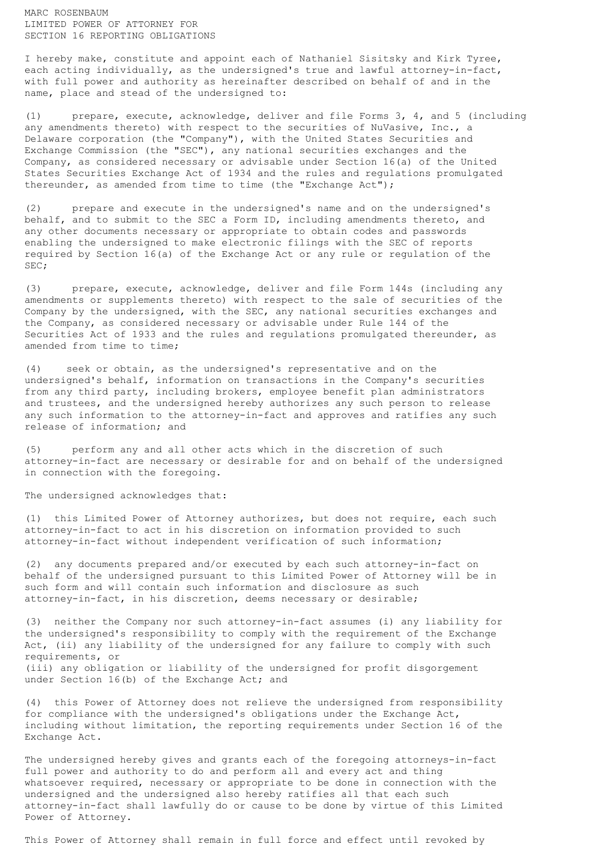MARC ROSENBAUM LIMITED POWER OF ATTORNEY FOR SECTION 16 REPORTING OBLIGATIONS

I hereby make, constitute and appoint each of Nathaniel Sisitsky and Kirk Tyree, each acting individually, as the undersigned's true and lawful attorney-in-fact, with full power and authority as hereinafter described on behalf of and in the name, place and stead of the undersigned to:

(1) prepare, execute, acknowledge, deliver and file Forms 3, 4, and 5 (including any amendments thereto) with respect to the securities of NuVasive, Inc., a Delaware corporation (the "Company"), with the United States Securities and Exchange Commission (the "SEC"), any national securities exchanges and the Company, as considered necessary or advisable under Section 16(a) of the United States Securities Exchange Act of 1934 and the rules and regulations promulgated thereunder, as amended from time to time (the "Exchange Act");

(2) prepare and execute in the undersigned's name and on the undersigned's behalf, and to submit to the SEC a Form ID, including amendments thereto, and any other documents necessary or appropriate to obtain codes and passwords enabling the undersigned to make electronic filings with the SEC of reports required by Section 16(a) of the Exchange Act or any rule or regulation of the SEC;

(3) prepare, execute, acknowledge, deliver and file Form 144s (including any amendments or supplements thereto) with respect to the sale of securities of the Company by the undersigned, with the SEC, any national securities exchanges and the Company, as considered necessary or advisable under Rule 144 of the Securities Act of 1933 and the rules and regulations promulgated thereunder, as amended from time to time;

(4) seek or obtain, as the undersigned's representative and on the undersigned's behalf, information on transactions in the Company's securities from any third party, including brokers, employee benefit plan administrators and trustees, and the undersigned hereby authorizes any such person to release any such information to the attorney-in-fact and approves and ratifies any such release of information; and

(5) perform any and all other acts which in the discretion of such attorney-in-fact are necessary or desirable for and on behalf of the undersigned in connection with the foregoing.

The undersigned acknowledges that:

(1) this Limited Power of Attorney authorizes, but does not require, each such attorney-in-fact to act in his discretion on information provided to such attorney-in-fact without independent verification of such information;

(2) any documents prepared and/or executed by each such attorney-in-fact on behalf of the undersigned pursuant to this Limited Power of Attorney will be in such form and will contain such information and disclosure as such attorney-in-fact, in his discretion, deems necessary or desirable;

(3) neither the Company nor such attorney-in-fact assumes (i) any liability for the undersigned's responsibility to comply with the requirement of the Exchange Act, (ii) any liability of the undersigned for any failure to comply with such requirements, or (iii) any obligation or liability of the undersigned for profit disgorgement under Section 16(b) of the Exchange Act; and

(4) this Power of Attorney does not relieve the undersigned from responsibility for compliance with the undersigned's obligations under the Exchange Act, including without limitation, the reporting requirements under Section 16 of the Exchange Act.

The undersigned hereby gives and grants each of the foregoing attorneys-in-fact full power and authority to do and perform all and every act and thing whatsoever required, necessary or appropriate to be done in connection with the undersigned and the undersigned also hereby ratifies all that each such attorney-in-fact shall lawfully do or cause to be done by virtue of this Limited Power of Attorney.

This Power of Attorney shall remain in full force and effect until revoked by